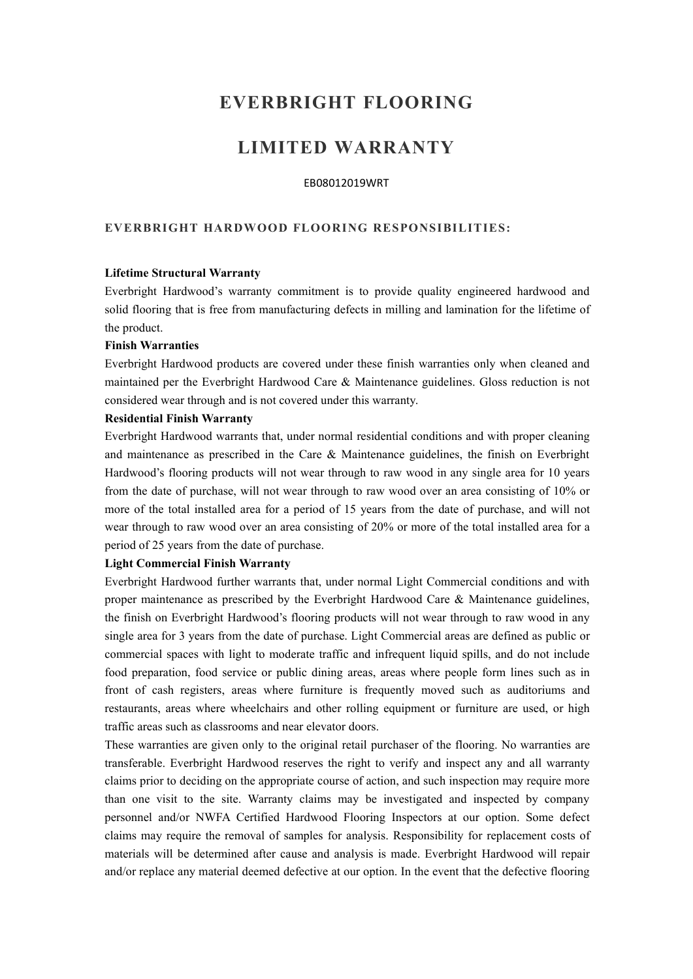# **EVERBRIGHT FLOORING**

## **LIMITED WARRANTY**

#### EB08012019WRT

## **EVERBRIGHT HARDWOOD FLOORING RESPONSIBILITIES:**

#### **Lifetime Structural Warranty**

Everbright Hardwood's warranty commitment is to provide quality engineered hardwood and solid flooring that is free from manufacturing defects in milling and lamination for the lifetime of the product.

#### **Finish Warranties**

Everbright Hardwood products are covered under these finish warranties only when cleaned and maintained per the Everbright Hardwood Care & Maintenance guidelines. Gloss reduction is not considered wear through and is not covered under this warranty.

#### **Residential Finish Warranty**

Everbright Hardwood warrants that, under normal residential conditions and with proper cleaning and maintenance as prescribed in the Care & Maintenance guidelines, the finish on Everbright Hardwood's flooring products will not wear through to raw wood in any single area for 10 years from the date of purchase, will not wear through to raw wood over an area consisting of 10% or more of the total installed area for a period of 15 years from the date of purchase, and will not wear through to raw wood over an area consisting of 20% or more of the total installed area for a period of 25 years from the date of purchase.

#### **Light Commercial Finish Warranty**

Everbright Hardwood further warrants that, under normal Light Commercial conditions and with proper maintenance as prescribed by the Everbright Hardwood Care & Maintenance guidelines, the finish on Everbright Hardwood's flooring products will not wear through to raw wood in any single area for 3 years from the date of purchase. Light Commercial areas are defined as public or commercial spaces with light to moderate traffic and infrequent liquid spills, and do not include food preparation, food service or public dining areas, areas where people form lines such as in front of cash registers, areas where furniture is frequently moved such as auditoriums and restaurants, areas where wheelchairs and other rolling equipment or furniture are used, or high traffic areas such as classrooms and near elevator doors.

These warranties are given only to the original retail purchaser of the flooring. No warranties are transferable. Everbright Hardwood reserves the right to verify and inspect any and all warranty claims prior to deciding on the appropriate course of action, and such inspection may require more than one visit to the site. Warranty claims may be investigated and inspected by company personnel and/or NWFA Certified Hardwood Flooring Inspectors at our option. Some defect claims may require the removal of samples for analysis. Responsibility for replacement costs of materials will be determined after cause and analysis is made. Everbright Hardwood will repair and/or replace any material deemed defective at our option. In the event that the defective flooring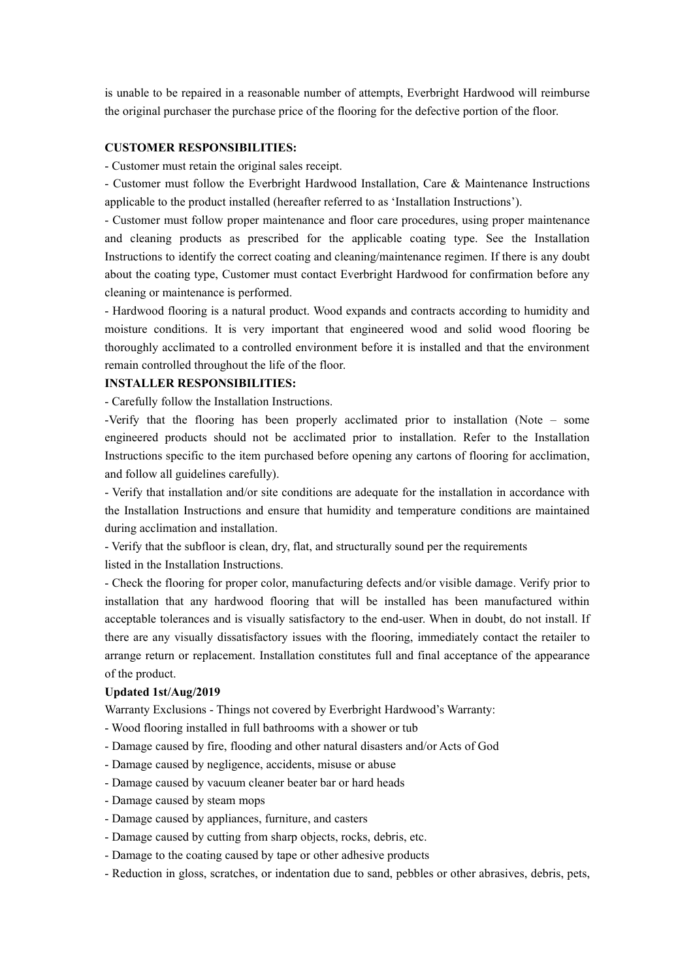is unable to be repaired in a reasonable number of attempts, Everbright Hardwood will reimburse the original purchaser the purchase price of the flooring for the defective portion of the floor.

## **CUSTOMER RESPONSIBILITIES:**

- Customer must retain the original sales receipt.

- Customer must follow the Everbright Hardwood Installation, Care & Maintenance Instructions applicable to the product installed (hereafter referred to as'Installation Instructions').

- Customer must follow proper maintenance and floor care procedures, using proper maintenance and cleaning products as prescribed for the applicable coating type. See the Installation Instructions to identify the correct coating and cleaning/maintenance regimen. If there is any doubt about the coating type, Customer must contact Everbright Hardwood for confirmation before any cleaning or maintenance is performed.

- Hardwood flooring is a natural product. Wood expands and contracts according to humidity and moisture conditions. It is very important that engineered wood and solid wood flooring be thoroughly acclimated to a controlled environment before it is installed and that the environment remain controlled throughout the life of the floor.

#### **INSTALLER RESPONSIBILITIES:**

- Carefully follow the Installation Instructions.

-Verify that the flooring has been properly acclimated prior to installation (Note – some engineered products should not be acclimated prior to installation. Refer to the Installation Instructions specific to the item purchased before opening any cartons of flooring for acclimation, and follow all guidelines carefully).

- Verify that installation and/or site conditions are adequate for the installation in accordance with the Installation Instructions and ensure that humidity and temperature conditions are maintained during acclimation and installation.

- Verify that the subfloor is clean, dry, flat, and structurally sound per the requirements listed in the Installation Instructions.

- Check the flooring for proper color, manufacturing defects and/or visible damage. Verify prior to installation that any hardwood flooring that will be installed has been manufactured within acceptable tolerances and is visually satisfactory to the end-user. When in doubt, do not install. If there are any visually dissatisfactory issues with the flooring, immediately contact the retailer to arrange return or replacement. Installation constitutes full and final acceptance of the appearance of the product.

#### **Updated 1st/Aug/2019**

Warranty Exclusions - Things not covered by Everbright Hardwood's Warranty:

- Wood flooring installed in full bathrooms with a shower or tub

- Damage caused by fire, flooding and other natural disasters and/or Acts of God
- Damage caused by negligence, accidents, misuse or abuse
- Damage caused by vacuum cleaner beater bar or hard heads
- Damage caused by steam mops
- Damage caused by appliances, furniture, and casters
- Damage caused by cutting from sharp objects, rocks, debris, etc.
- Damage to the coating caused by tape or other adhesive products
- Reduction in gloss, scratches, or indentation due to sand, pebbles or other abrasives, debris, pets,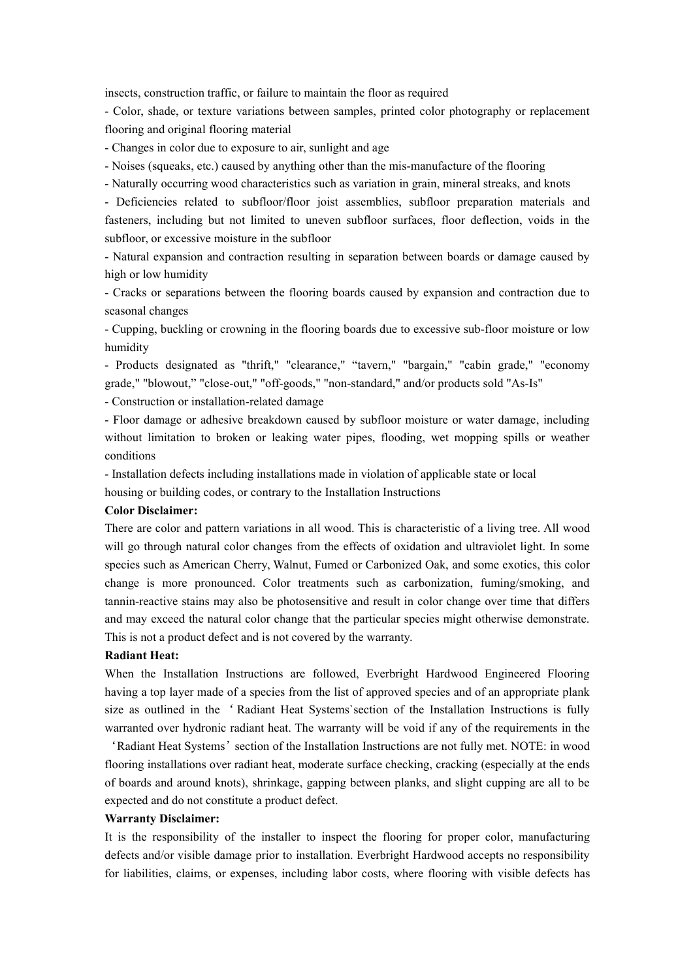insects, construction traffic, or failure to maintain the floor as required

- Color, shade, or texture variations between samples, printed color photography or replacement flooring and original flooring material

- Changes in color due to exposure to air, sunlight and age

- Noises (squeaks, etc.) caused by anything other than the mis-manufacture of the flooring

- Naturally occurring wood characteristics such as variation in grain, mineral streaks, and knots

- Deficiencies related to subfloor/floor joist assemblies, subfloor preparation materials and fasteners, including but not limited to uneven subfloor surfaces, floor deflection, voids in the subfloor, or excessive moisture in the subfloor

- Natural expansion and contraction resulting in separation between boards or damage caused by high or low humidity

- Cracks or separations between the flooring boards caused by expansion and contraction due to seasonal changes

- Cupping, buckling or crowning in the flooring boards due to excessive sub-floor moisture or low humidity

- Products designated as "thrift," "clearance," "tavern," "bargain," "cabin grade," "economy grade," "blowout," "close-out," "off-goods," "non-standard," and/or products sold "As-Is"

- Construction or installation-related damage

- Floor damage or adhesive breakdown caused by subfloor moisture or water damage, including without limitation to broken or leaking water pipes, flooding, wet mopping spills or weather conditions

- Installation defects including installations made in violation of applicable state or local housing or building codes, or contrary to the Installation Instructions

### **Color Disclaimer:**

There are color and pattern variations in all wood. This is characteristic of a living tree. All wood will go through natural color changes from the effects of oxidation and ultraviolet light. In some species such as American Cherry, Walnut, Fumed or Carbonized Oak, and some exotics, this color change is more pronounced. Color treatments such as carbonization, fuming/smoking, and tannin-reactive stains may also be photosensitive and result in color change over time that differs and may exceed the natural color change that the particular species might otherwise demonstrate. This is not a product defect and is not covered by the warranty.

#### **Radiant Heat:**

When the Installation Instructions are followed, Everbright Hardwood Engineered Flooring having a top layer made of a species from the list of approved species and of an appropriate plank size as outlined in the ' Radiant Heat Systems`section of the Installation Instructions is fully warranted over hydronic radiant heat. The warranty will be void if any of the requirements in the

'Radiant Heat Systems'section of the Installation Instructions are not fully met. NOTE: in wood flooring installations over radiant heat, moderate surface checking, cracking (especially at the ends of boards and around knots), shrinkage, gapping between planks, and slight cupping are all to be expected and do not constitute a product defect.

#### **Warranty Disclaimer:**

It is the responsibility of the installer to inspect the flooring for proper color, manufacturing defects and/or visible damage prior to installation. Everbright Hardwood accepts no responsibility for liabilities, claims, or expenses, including labor costs, where flooring with visible defects has